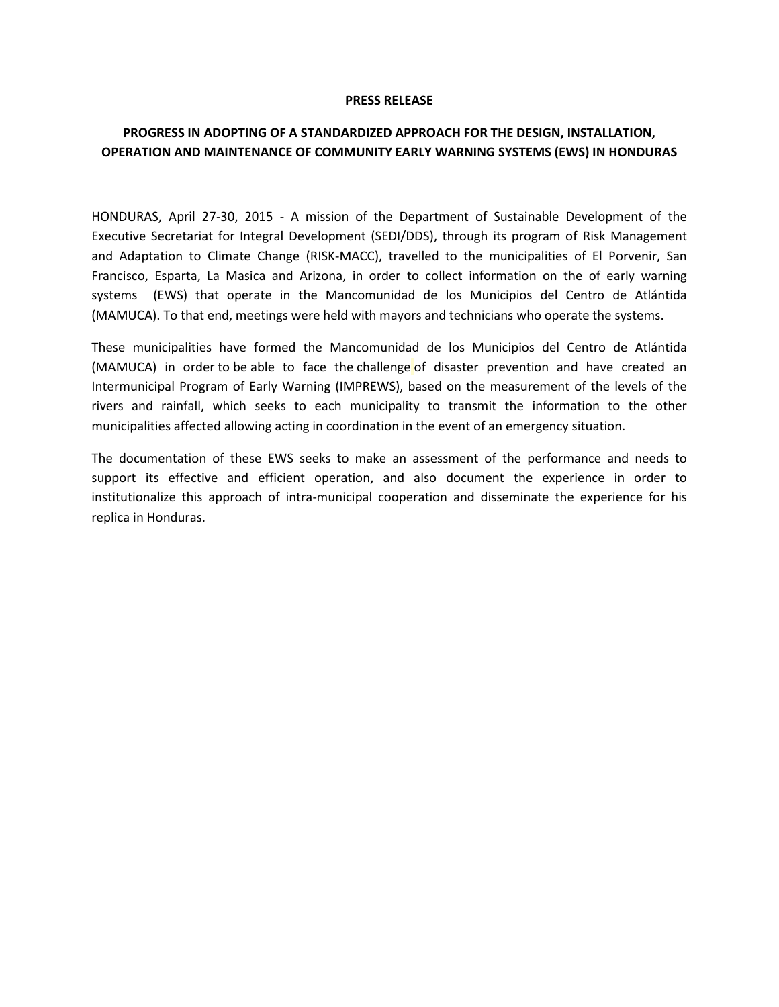## **PRESS RELEASE**

## **PROGRESS IN ADOPTING OF A STANDARDIZED APPROACH FOR THE DESIGN, INSTALLATION, OPERATION AND MAINTENANCE OF COMMUNITY EARLY WARNING SYSTEMS (EWS) IN HONDURAS**

HONDURAS, April 27-30, 2015 - A mission of the Department of Sustainable Development of the Executive Secretariat for Integral Development (SEDI/DDS), through its program of Risk Management and Adaptation to Climate Change (RISK-MACC), travelled to the municipalities of El Porvenir, San Francisco, Esparta, La Masica and Arizona, in order to collect information on the of early warning systems (EWS) that operate in the Mancomunidad de los Municipios del Centro de Atlántida (MAMUCA). To that end, meetings were held with mayors and technicians who operate the systems.

These municipalities have formed the Mancomunidad de los Municipios del Centro de Atlántida (MAMUCA) in order to be able to face the challenge of disaster prevention and have created an Intermunicipal Program of Early Warning (IMPREWS), based on the measurement of the levels of the rivers and rainfall, which seeks to each municipality to transmit the information to the other municipalities affected allowing acting in coordination in the event of an emergency situation.

The documentation of these EWS seeks to make an assessment of the performance and needs to support its effective and efficient operation, and also document the experience in order to institutionalize this approach of intra-municipal cooperation and disseminate the experience for his replica in Honduras.